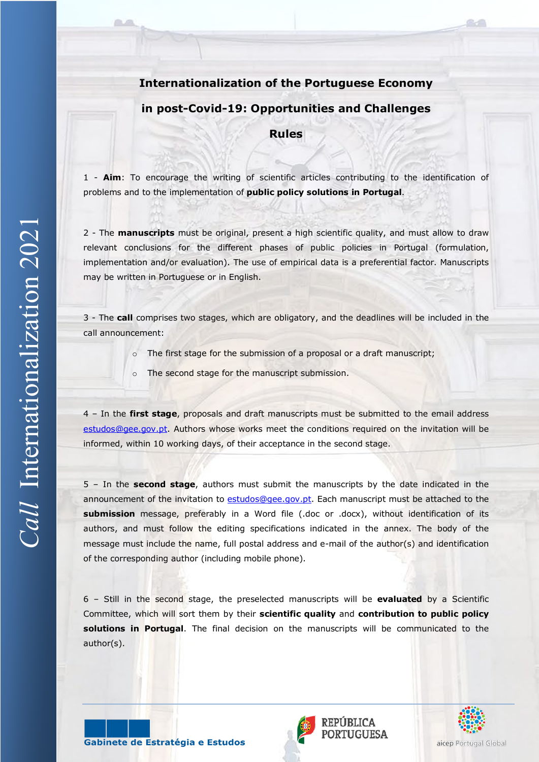# **Internationalization of the Portuguese Economy**

# **in post-Covid-19: Opportunities and Challenges**

**Rules**

1 - **Aim**: To encourage the writing of scientific articles contributing to the identification of problems and to the implementation of **public policy solutions in Portugal**.

2 - The **manuscripts** must be original, present a high scientific quality, and must allow to draw relevant conclusions for the different phases of public policies in Portugal (formulation, implementation and/or evaluation). The use of empirical data is a preferential factor. Manuscripts may be written in Portuguese or in English.

3 - The **call** comprises two stages, which are obligatory, and the deadlines will be included in the call announcement:

- o The first stage for the submission of a proposal or a draft manuscript;
- o The second stage for the manuscript submission.

4 – In the **first stage**, proposals and draft manuscripts must be submitted to the email address [estudos@gee.gov.pt.](mailto:estudos@gee.gov.pt) Authors whose works meet the conditions required on the invitation will be informed, within 10 working days, of their acceptance in the second stage.

5 – In the **second stage**, authors must submit the manuscripts by the date indicated in the announcement of the invitation to [estudos@gee.gov.pt.](mailto:estudos@gee.gov.pt) Each manuscript must be attached to the **submission** message, preferably in a Word file (.doc or .docx), without identification of its authors, and must follow the editing specifications indicated in the annex. The body of the message must include the name, full postal address and e-mail of the author(s) and identification of the corresponding author (including mobile phone).

6 – Still in the second stage, the preselected manuscripts will be **evaluated** by a Scientific Committee, which will sort them by their **scientific quality** and **contribution to public policy solutions in Portugal**. The final decision on the manuscripts will be communicated to the author(s).

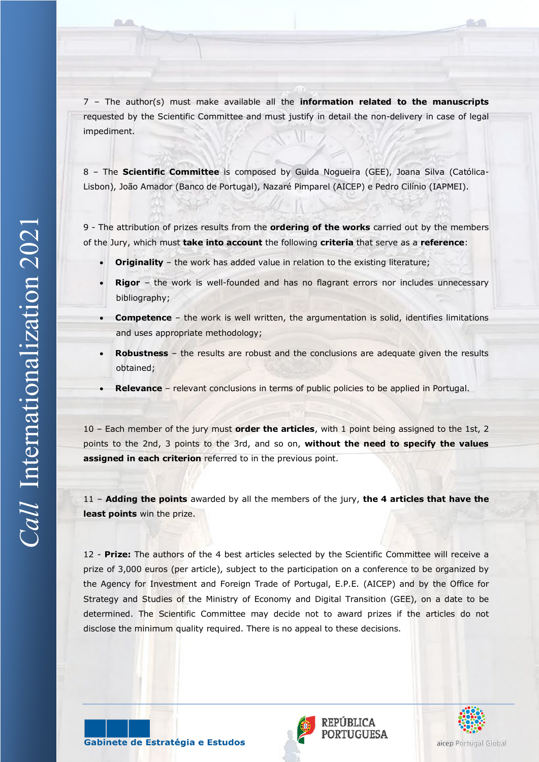7 – The author(s) must make available all the **information related to the manuscripts** requested by the Scientific Committee and must justify in detail the non-delivery in case of legal impediment.

8 – The **Scientific Committee** is composed by Guida Nogueira (GEE), Joana Silva (Católica-Lisbon), João Amador (Banco de Portugal), Nazaré Pimparel (AICEP) e Pedro Cilínio (IAPMEI).

9 - The attribution of prizes results from the **ordering of the works** carried out by the members of the Jury, which must **take into account** the following **criteria** that serve as a **reference**:

- **Originality** the work has added value in relation to the existing literature;
- **Rigor** the work is well-founded and has no flagrant errors nor includes unnecessary bibliography;
- **Competence** the work is well written, the argumentation is solid, identifies limitations and uses appropriate methodology;
- **Robustness** the results are robust and the conclusions are adequate given the results obtained;
- **Relevance** relevant conclusions in terms of public policies to be applied in Portugal.

10 – Each member of the jury must **order the articles**, with 1 point being assigned to the 1st, 2 points to the 2nd, 3 points to the 3rd, and so on, **without the need to specify the values assigned in each criterion** referred to in the previous point.

11 – **Adding the points** awarded by all the members of the jury, **the 4 articles that have the least points** win the prize.

12 - **Prize:** The authors of the 4 best articles selected by the Scientific Committee will receive a prize of 3,000 euros (per article), subject to the participation on a conference to be organized by the Agency for Investment and Foreign Trade of Portugal, E.P.E. (AICEP) and by the Office for Strategy and Studies of the Ministry of Economy and Digital Transition (GEE), on a date to be determined. The Scientific Committee may decide not to award prizes if the articles do not disclose the minimum quality required. There is no appeal to these decisions.



Gabinete de Estratégia e Estudos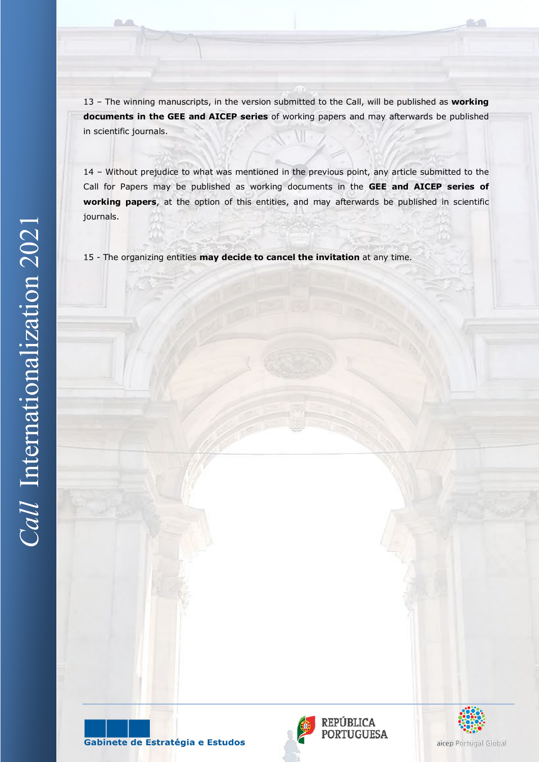13 – The winning manuscripts, in the version submitted to the Call, will be published as **working documents in the GEE and AICEP series** of working papers and may afterwards be published in scientific journals.

14 – Without prejudice to what was mentioned in the previous point, any article submitted to the Call for Papers may be published as working documents in the **GEE and AICEP series of working papers**, at the option of this entities, and may afterwards be published in scientific journals.

15 - The organizing entities **may decide to cancel the invitation** at any time.





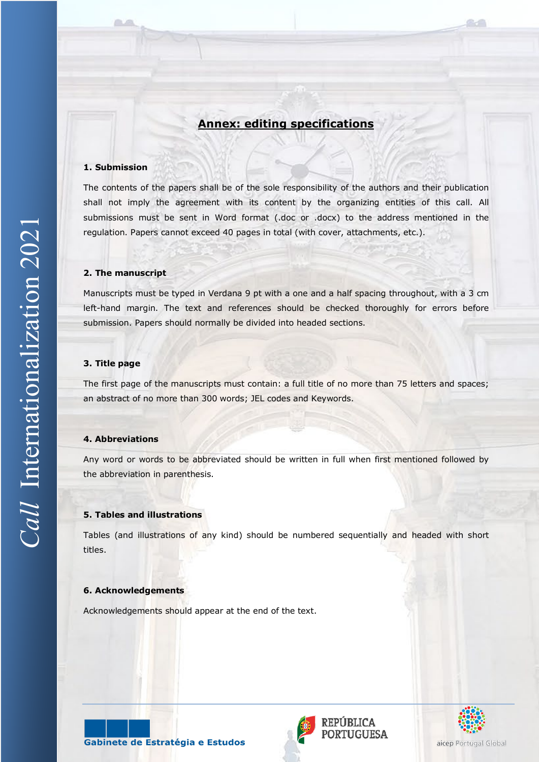# **Annex: editing specifications**

## **1. Submission**

The contents of the papers shall be of the sole responsibility of the authors and their publication shall not imply the agreement with its content by the organizing entities of this call. All submissions must be sent in Word format (.doc or .docx) to the address mentioned in the regulation. Papers cannot exceed 40 pages in total (with cover, attachments, etc.).

#### **2. The manuscript**

Manuscripts must be typed in Verdana 9 pt with a one and a half spacing throughout, with a 3 cm left-hand margin. The text and references should be checked thoroughly for errors before submission. Papers should normally be divided into headed sections.

## **3. Title page**

The first page of the manuscripts must contain: a full title of no more than 75 letters and spaces; an abstract of no more than 300 words; JEL codes and Keywords.

#### **4. Abbreviations**

Any word or words to be abbreviated should be written in full when first mentioned followed by the abbreviation in parenthesis.

## **5. Tables and illustrations**

Tables (and illustrations of any kind) should be numbered sequentially and headed with short titles.

# **6. Acknowledgements**

Acknowledgements should appear at the end of the text.